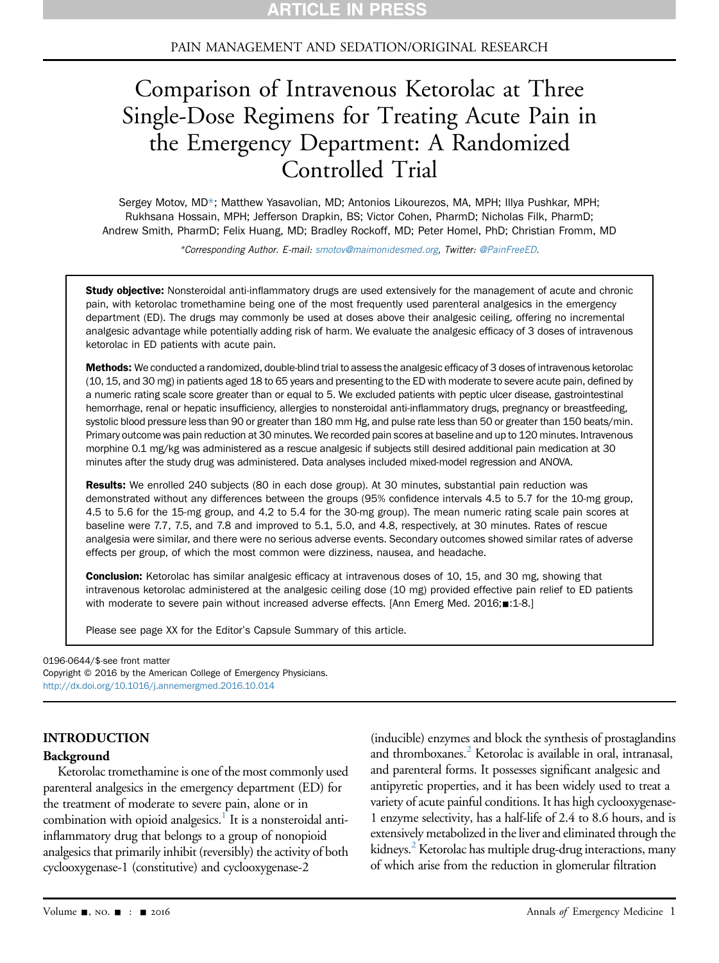## PAIN MANAGEMENT AND SEDATION/ORIGINAL RESEARCH

# Comparison of Intravenous Ketorolac at Three Single-Dose Regimens for Treating Acute Pain in the Emergency Department: A Randomized Controlled Trial

Sergey Motov, MD\*; Matthew Yasavolian, MD; Antonios Likourezos, MA, MPH; Illya Pushkar, MPH; Rukhsana Hossain, MPH; Jefferson Drapkin, BS; Victor Cohen, PharmD; Nicholas Filk, PharmD; Andrew Smith, PharmD; Felix Huang, MD; Bradley Rockoff, MD; Peter Homel, PhD; Christian Fromm, MD \*Corresponding Author. E-mail: [smotov@maimonidesmed.org](mailto:smotov@maimonidesmed.org), Twitter: [@PainFreeED](mailto:@PainFreeED).

Study objective: Nonsteroidal anti-inflammatory drugs are used extensively for the management of acute and chronic pain, with ketorolac tromethamine being one of the most frequently used parenteral analgesics in the emergency department (ED). The drugs may commonly be used at doses above their analgesic ceiling, offering no incremental analgesic advantage while potentially adding risk of harm. We evaluate the analgesic efficacy of 3 doses of intravenous ketorolac in ED patients with acute pain.

Methods: We conducted a randomized, double-blind trial to assess the analgesic efficacy of 3 doses of intravenous ketorolac (10, 15, and 30 mg) in patients aged 18 to 65 years and presenting to the ED with moderate to severe acute pain, defined by a numeric rating scale score greater than or equal to 5. We excluded patients with peptic ulcer disease, gastrointestinal hemorrhage, renal or hepatic insufficiency, allergies to nonsteroidal anti-inflammatory drugs, pregnancy or breastfeeding, systolic blood pressure less than 90 or greater than 180 mm Hg, and pulse rate less than 50 or greater than 150 beats/min. Primary outcome was pain reduction at 30 minutes. We recorded pain scores at baseline and up to 120 minutes. Intravenous morphine 0.1 mg/kg was administered as a rescue analgesic if subjects still desired additional pain medication at 30 minutes after the study drug was administered. Data analyses included mixed-model regression and ANOVA.

Results: We enrolled 240 subjects (80 in each dose group). At 30 minutes, substantial pain reduction was demonstrated without any differences between the groups (95% confidence intervals 4.5 to 5.7 for the 10-mg group, 4.5 to 5.6 for the 15-mg group, and 4.2 to 5.4 for the 30-mg group). The mean numeric rating scale pain scores at baseline were 7.7, 7.5, and 7.8 and improved to 5.1, 5.0, and 4.8, respectively, at 30 minutes. Rates of rescue analgesia were similar, and there were no serious adverse events. Secondary outcomes showed similar rates of adverse effects per group, of which the most common were dizziness, nausea, and headache.

**Conclusion:** Ketorolac has similar analgesic efficacy at intravenous doses of 10, 15, and 30 mg, showing that intravenous ketorolac administered at the analgesic ceiling dose (10 mg) provided effective pain relief to ED patients with moderate to severe pain without increased adverse effects. [Ann Emerg Med. 2016;...1-8.]

Please see page XX for the Editor's Capsule Summary of this article.

0196-0644/\$-see front matter

Copyright © 2016 by the American College of Emergency Physicians. <http://dx.doi.org/10.1016/j.annemergmed.2016.10.014>

#### INTRODUCTION

#### Background

Ketorolac tromethamine is one of the most commonly used parenteral analgesics in the emergency department (ED) for the treatment of moderate to severe pain, alone or in combination with opioid analgesics.<sup>1</sup> It is a nonsteroidal antiinflammatory drug that belongs to a group of nonopioid analgesics that primarily inhibit (reversibly) the activity of both cyclooxygenase-1 (constitutive) and cyclooxygenase-2

(inducible) enzymes and block the synthesis of prostaglandins and thromboxanes.<sup>[2](#page-7-1)</sup> Ketorolac is available in oral, intranasal, and parenteral forms. It possesses significant analgesic and antipyretic properties, and it has been widely used to treat a variety of acute painful conditions. It has high cyclooxygenase-1 enzyme selectivity, has a half-life of 2.4 to 8.6 hours, and is extensively metabolized in the liver and eliminated through the kidneys.<sup>[2](#page-7-1)</sup> Ketorolac has multiple drug-drug interactions, many of which arise from the reduction in glomerular filtration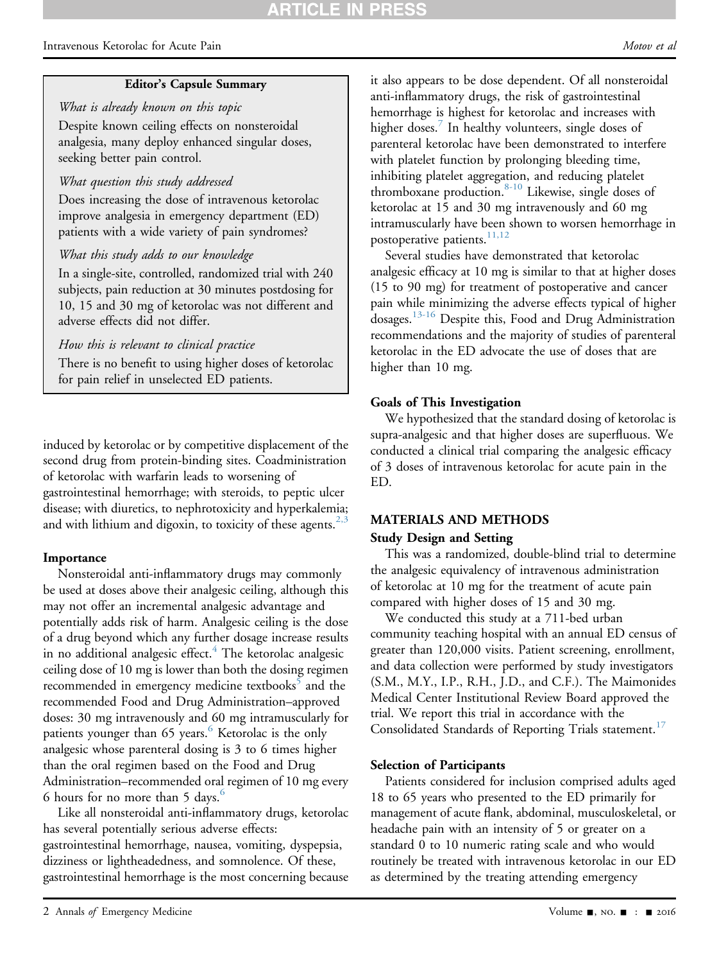# **ARTICLE IN PRES**

#### Editor's Capsule Summary

What is already known on this topic Despite known ceiling effects on nonsteroidal analgesia, many deploy enhanced singular doses, seeking better pain control.

#### What question this study addressed

Does increasing the dose of intravenous ketorolac improve analgesia in emergency department (ED) patients with a wide variety of pain syndromes?

#### What this study adds to our knowledge

In a single-site, controlled, randomized trial with 240 subjects, pain reduction at 30 minutes postdosing for 10, 15 and 30 mg of ketorolac was not different and adverse effects did not differ.

How this is relevant to clinical practice

There is no benefit to using higher doses of ketorolac for pain relief in unselected ED patients.

induced by ketorolac or by competitive displacement of the second drug from protein-binding sites. Coadministration of ketorolac with warfarin leads to worsening of gastrointestinal hemorrhage; with steroids, to peptic ulcer disease; with diuretics, to nephrotoxicity and hyperkalemia; and with lithium and digoxin, to toxicity of these agents.  $2,3$ 

#### **Importance**

Nonsteroidal anti-inflammatory drugs may commonly be used at doses above their analgesic ceiling, although this may not offer an incremental analgesic advantage and potentially adds risk of harm. Analgesic ceiling is the dose of a drug beyond which any further dosage increase results in no additional analgesic effect. $4$  The ketorolac analgesic ceiling dose of 10 mg is lower than both the dosing regimen recommended in emergency medicine textbooks<sup>3</sup> and the recommended Food and Drug Administration–approved doses: 30 mg intravenously and 60 mg intramuscularly for patients younger than 65 years.<sup>6</sup> Ketorolac is the only analgesic whose parenteral dosing is 3 to 6 times higher than the oral regimen based on the Food and Drug Administration–recommended oral regimen of 10 mg every [6](#page-7-4) hours for no more than 5 days.<sup>6</sup>

Like all nonsteroidal anti-inflammatory drugs, ketorolac has several potentially serious adverse effects: gastrointestinal hemorrhage, nausea, vomiting, dyspepsia, dizziness or lightheadedness, and somnolence. Of these, gastrointestinal hemorrhage is the most concerning because

it also appears to be dose dependent. Of all nonsteroidal anti-inflammatory drugs, the risk of gastrointestinal hemorrhage is highest for ketorolac and increases with higher doses.<sup>7</sup> In healthy volunteers, single doses of parenteral ketorolac have been demonstrated to interfere with platelet function by prolonging bleeding time, inhibiting platelet aggregation, and reducing platelet thromboxane production[.8-10](#page-7-6) Likewise, single doses of ketorolac at 15 and 30 mg intravenously and 60 mg intramuscularly have been shown to worsen hemorrhage in postoperative patients.<sup>11,12</sup>

Several studies have demonstrated that ketorolac analgesic efficacy at 10 mg is similar to that at higher doses (15 to 90 mg) for treatment of postoperative and cancer pain while minimizing the adverse effects typical of higher dosages.<sup>13-16</sup> Despite this, Food and Drug Administration recommendations and the majority of studies of parenteral ketorolac in the ED advocate the use of doses that are higher than 10 mg.

## Goals of This Investigation

We hypothesized that the standard dosing of ketorolac is supra-analgesic and that higher doses are superfluous. We conducted a clinical trial comparing the analgesic efficacy of 3 doses of intravenous ketorolac for acute pain in the ED.

## MATERIALS AND METHODS

#### Study Design and Setting

This was a randomized, double-blind trial to determine the analgesic equivalency of intravenous administration of ketorolac at 10 mg for the treatment of acute pain compared with higher doses of 15 and 30 mg.

We conducted this study at a 711-bed urban community teaching hospital with an annual ED census of greater than 120,000 visits. Patient screening, enrollment, and data collection were performed by study investigators (S.M., M.Y., I.P., R.H., J.D., and C.F.). The Maimonides Medical Center Institutional Review Board approved the trial. We report this trial in accordance with the Consolidated Standards of Reporting Trials statement.<sup>[17](#page-7-9)</sup>

#### Selection of Participants

Patients considered for inclusion comprised adults aged 18 to 65 years who presented to the ED primarily for management of acute flank, abdominal, musculoskeletal, or headache pain with an intensity of 5 or greater on a standard 0 to 10 numeric rating scale and who would routinely be treated with intravenous ketorolac in our ED as determined by the treating attending emergency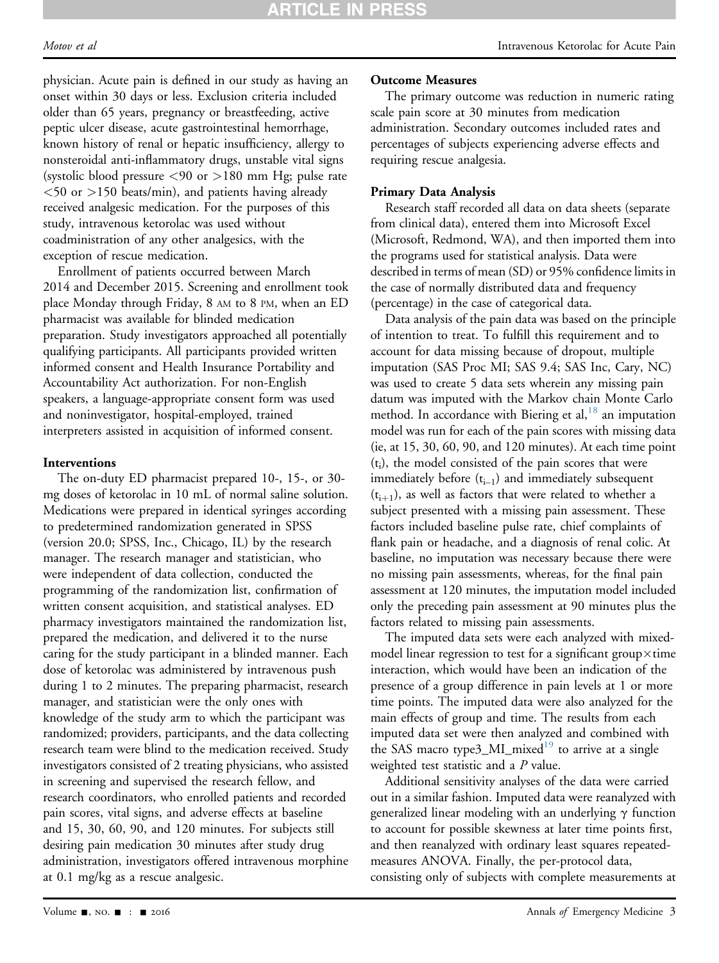physician. Acute pain is defined in our study as having an onset within 30 days or less. Exclusion criteria included older than 65 years, pregnancy or breastfeeding, active peptic ulcer disease, acute gastrointestinal hemorrhage, known history of renal or hepatic insufficiency, allergy to nonsteroidal anti-inflammatory drugs, unstable vital signs (systolic blood pressure  $\langle 90 \text{ or } 180 \text{ mm Hg}$ ; pulse rate  $<$  50 or  $>$ 150 beats/min), and patients having already received analgesic medication. For the purposes of this study, intravenous ketorolac was used without coadministration of any other analgesics, with the exception of rescue medication.

Enrollment of patients occurred between March 2014 and December 2015. Screening and enrollment took place Monday through Friday, 8 AM to 8 PM, when an ED pharmacist was available for blinded medication preparation. Study investigators approached all potentially qualifying participants. All participants provided written informed consent and Health Insurance Portability and Accountability Act authorization. For non-English speakers, a language-appropriate consent form was used and noninvestigator, hospital-employed, trained interpreters assisted in acquisition of informed consent.

## Interventions

The on-duty ED pharmacist prepared 10-, 15-, or 30 mg doses of ketorolac in 10 mL of normal saline solution. Medications were prepared in identical syringes according to predetermined randomization generated in SPSS (version 20.0; SPSS, Inc., Chicago, IL) by the research manager. The research manager and statistician, who were independent of data collection, conducted the programming of the randomization list, confirmation of written consent acquisition, and statistical analyses. ED pharmacy investigators maintained the randomization list, prepared the medication, and delivered it to the nurse caring for the study participant in a blinded manner. Each dose of ketorolac was administered by intravenous push during 1 to 2 minutes. The preparing pharmacist, research manager, and statistician were the only ones with knowledge of the study arm to which the participant was randomized; providers, participants, and the data collecting research team were blind to the medication received. Study investigators consisted of 2 treating physicians, who assisted in screening and supervised the research fellow, and research coordinators, who enrolled patients and recorded pain scores, vital signs, and adverse effects at baseline and 15, 30, 60, 90, and 120 minutes. For subjects still desiring pain medication 30 minutes after study drug administration, investigators offered intravenous morphine at 0.1 mg/kg as a rescue analgesic.

#### Outcome Measures

The primary outcome was reduction in numeric rating scale pain score at 30 minutes from medication administration. Secondary outcomes included rates and percentages of subjects experiencing adverse effects and requiring rescue analgesia.

## Primary Data Analysis

Research staff recorded all data on data sheets (separate from clinical data), entered them into Microsoft Excel (Microsoft, Redmond, WA), and then imported them into the programs used for statistical analysis. Data were described in terms of mean (SD) or 95% confidence limits in the case of normally distributed data and frequency (percentage) in the case of categorical data.

Data analysis of the pain data was based on the principle of intention to treat. To fulfill this requirement and to account for data missing because of dropout, multiple imputation (SAS Proc MI; SAS 9.4; SAS Inc, Cary, NC) was used to create 5 data sets wherein any missing pain datum was imputed with the Markov chain Monte Carlo method. In accordance with Biering et al,  $^{18}$  $^{18}$  $^{18}$  an imputation model was run for each of the pain scores with missing data (ie, at 15, 30, 60, 90, and 120 minutes). At each time point (ti ), the model consisted of the pain scores that were immediately before  $(t_{i-1})$  and immediately subsequent  $(t_{i+1})$ , as well as factors that were related to whether a subject presented with a missing pain assessment. These factors included baseline pulse rate, chief complaints of flank pain or headache, and a diagnosis of renal colic. At baseline, no imputation was necessary because there were no missing pain assessments, whereas, for the final pain assessment at 120 minutes, the imputation model included only the preceding pain assessment at 90 minutes plus the factors related to missing pain assessments.

The imputed data sets were each analyzed with mixedmodel linear regression to test for a significant group $\times$ time interaction, which would have been an indication of the presence of a group difference in pain levels at 1 or more time points. The imputed data were also analyzed for the main effects of group and time. The results from each imputed data set were then analyzed and combined with the SAS macro type $3_MI$ <sub>mixed</sub><sup>19</sup> to arrive at a single weighted test statistic and a  $P$  value.

Additional sensitivity analyses of the data were carried out in a similar fashion. Imputed data were reanalyzed with generalized linear modeling with an underlying  $\gamma$  function to account for possible skewness at later time points first, and then reanalyzed with ordinary least squares repeatedmeasures ANOVA. Finally, the per-protocol data, consisting only of subjects with complete measurements at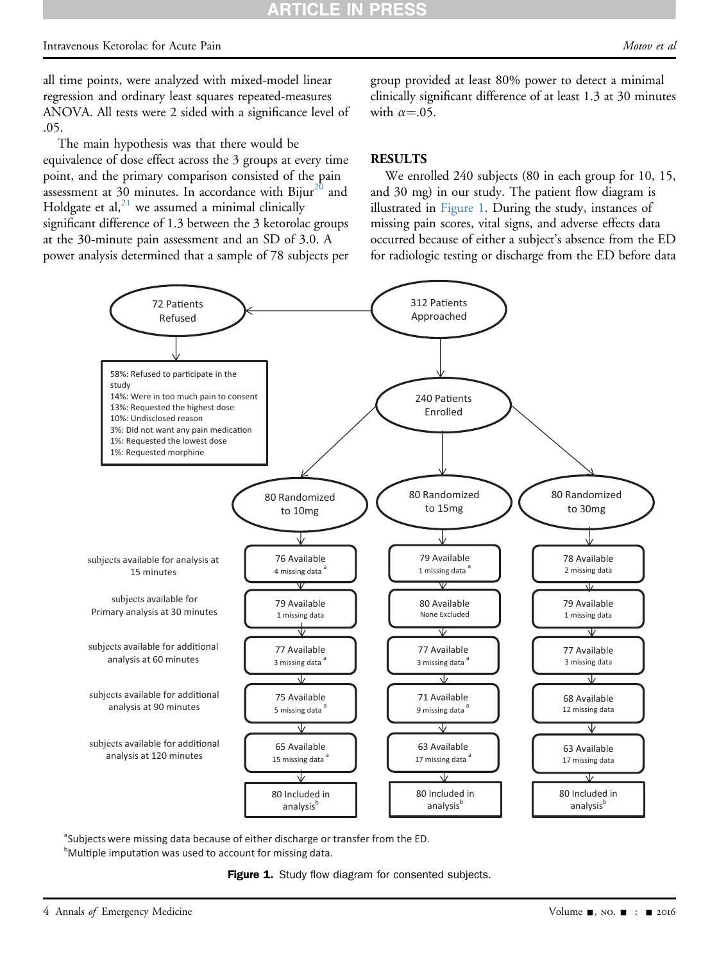# **ARTICLE IN PRESS**

#### Intravenous Ketorolac for Acute Pain Note and Security and Security and Security Associates of the Motov et al

all time points, were analyzed with mixed-model linear regression and ordinary least squares repeated-measures ANOVA. All tests were 2 sided with a significance level of .05.

The main hypothesis was that there would be equivalence of dose effect across the 3 groups at every time point, and the primary comparison consisted of the pain assessment at 30 minutes. In accordance with  $Bijur^{20}$  and Holdgate et al, $^{21}$  $^{21}$  $^{21}$  we assumed a minimal clinically significant difference of 1.3 between the 3 ketorolac groups at the 30-minute pain assessment and an SD of 3.0. A power analysis determined that a sample of 78 subjects per group provided at least 80% power to detect a minimal clinically significant difference of at least 1.3 at 30 minutes with  $\alpha = .05$ .

#### **RESULTS**

We enrolled 240 subjects (80 in each group for 10, 15, and 30 mg) in our study. The patient flow diagram is illustrated in [Figure 1](#page-3-0). During the study, instances of missing pain scores, vital signs, and adverse effects data occurred because of either a subject's absence from the ED for radiologic testing or discharge from the ED before data

<span id="page-3-0"></span>

<sup>a</sup>Subjects were missing data because of either discharge or transfer from the ED.

<sup>b</sup>Multiple imputation was used to account for missing data.

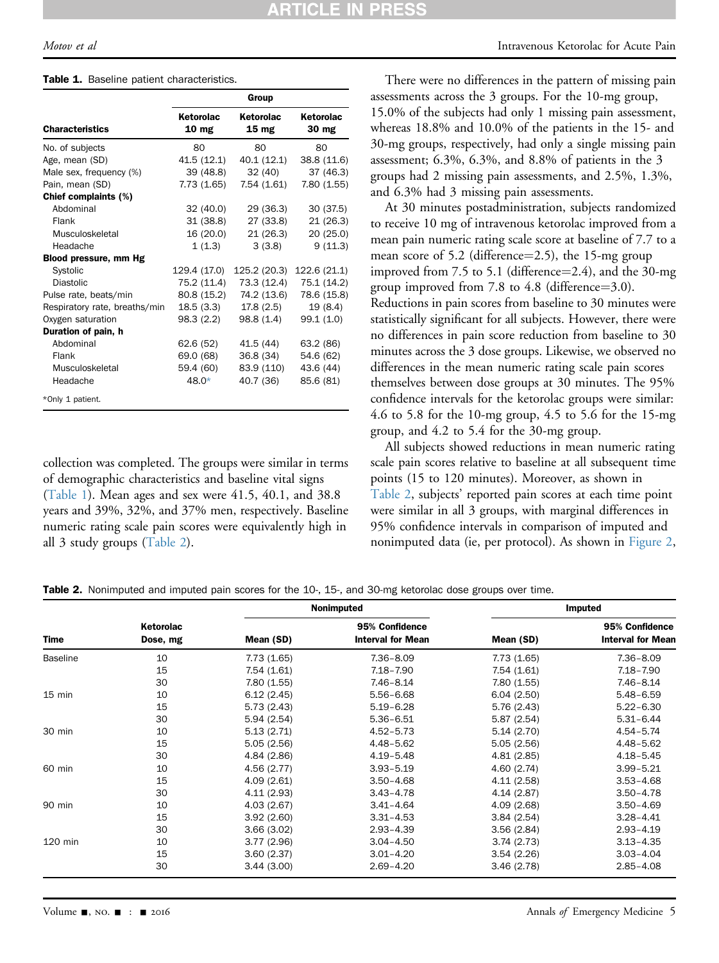#### <span id="page-4-0"></span>Table 1. Baseline patient characteristics.

|                               | Group                         |                               |                    |  |
|-------------------------------|-------------------------------|-------------------------------|--------------------|--|
| <b>Characteristics</b>        | Ketorolac<br>10 <sub>mg</sub> | Ketorolac<br>15 <sub>mg</sub> | Ketorolac<br>30 mg |  |
| No. of subjects               | 80                            | 80                            | 80                 |  |
| Age, mean (SD)                | 41.5 (12.1)                   | 40.1 (12.1)                   | 38.8 (11.6)        |  |
| Male sex, frequency (%)       | 39 (48.8)                     | 32(40)                        | 37 (46.3)          |  |
| Pain, mean (SD)               | 7.73 (1.65)                   | 7.54 (1.61)                   | 7.80 (1.55)        |  |
| Chief complaints (%)          |                               |                               |                    |  |
| Abdominal                     | 32 (40.0)                     | 29(36.3)                      | 30 (37.5)          |  |
| Flank                         | 31 (38.8)                     | 27 (33.8)                     | 21(26.3)           |  |
| Musculoskeletal               | 16 (20.0)                     | 21 (26.3)                     | 20(25.0)           |  |
| Headache                      | 1(1.3)                        | 3(3.8)                        | 9(11.3)            |  |
| Blood pressure, mm Hg         |                               |                               |                    |  |
| Systolic                      | 129.4 (17.0)                  | 125.2 (20.3)                  | 122.6 (21.1)       |  |
| <b>Diastolic</b>              | 75.2 (11.4)                   | 73.3 (12.4)                   | 75.1 (14.2)        |  |
| Pulse rate, beats/min         | 80.8 (15.2)                   | 74.2 (13.6)                   | 78.6 (15.8)        |  |
| Respiratory rate, breaths/min | 18.5(3.3)                     | 17.8(2.5)                     | 19(8.4)            |  |
| Oxygen saturation             | 98.3 (2.2)                    | 98.8 (1.4)                    | 99.1 (1.0)         |  |
| Duration of pain, h           |                               |                               |                    |  |
| Abdominal                     | 62.6 (52)                     | 41.5 (44)                     | 63.2 (86)          |  |
| Flank                         | 69.0 (68)                     | 36.8 (34)                     | 54.6 (62)          |  |
| Musculoskeletal               | 59.4 (60)                     | 83.9 (110)                    | 43.6 (44)          |  |
| Headache                      | $48.0*$                       | 40.7 (36)                     | 85.6 (81)          |  |
| *Only 1 patient.              |                               |                               |                    |  |

<span id="page-4-2"></span>collection was completed. The groups were similar in terms of demographic characteristics and baseline vital signs [\(Table 1](#page-4-0)). Mean ages and sex were 41.5, 40.1, and 38.8 years and 39%, 32%, and 37% men, respectively. Baseline numeric rating scale pain scores were equivalently high in all 3 study groups ([Table 2\)](#page-4-1).

There were no differences in the pattern of missing pain assessments across the 3 groups. For the 10-mg group, 15.0% of the subjects had only 1 missing pain assessment, whereas 18.8% and 10.0% of the patients in the 15- and 30-mg groups, respectively, had only a single missing pain assessment; 6.3%, 6.3%, and 8.8% of patients in the 3 groups had 2 missing pain assessments, and 2.5%, 1.3%, and 6.3% had 3 missing pain assessments.

At 30 minutes postadministration, subjects randomized to receive 10 mg of intravenous ketorolac improved from a mean pain numeric rating scale score at baseline of 7.7 to a mean score of 5.2 (difference= $2.5$ ), the 15-mg group improved from 7.5 to 5.1 (difference=2.4), and the 30-mg group improved from 7.8 to 4.8 (difference= $3.0$ ). Reductions in pain scores from baseline to 30 minutes were statistically significant for all subjects. However, there were no differences in pain score reduction from baseline to 30 minutes across the 3 dose groups. Likewise, we observed no differences in the mean numeric rating scale pain scores themselves between dose groups at 30 minutes. The 95% confidence intervals for the ketorolac groups were similar: 4.6 to 5.8 for the 10-mg group, 4.5 to 5.6 for the 15-mg group, and 4.2 to 5.4 for the 30-mg group.

All subjects showed reductions in mean numeric rating scale pain scores relative to baseline at all subsequent time points (15 to 120 minutes). Moreover, as shown in [Table 2](#page-4-1), subjects' reported pain scores at each time point were similar in all 3 groups, with marginal differences in 95% confidence intervals in comparison of imputed and nonimputed data (ie, per protocol). As shown in [Figure 2](#page-5-0),

<span id="page-4-1"></span>

| Table 2. Nonimputed and imputed pain scores for the 10-, 15-, and 30-mg ketorolac dose groups over time. |  |  |  |
|----------------------------------------------------------------------------------------------------------|--|--|--|
|----------------------------------------------------------------------------------------------------------|--|--|--|

|                 | <b>Ketorolac</b><br>Dose, mg | <b>Nonimputed</b> |                                            | <b>Imputed</b> |                                            |
|-----------------|------------------------------|-------------------|--------------------------------------------|----------------|--------------------------------------------|
| Time            |                              | Mean (SD)         | 95% Confidence<br><b>Interval for Mean</b> | Mean (SD)      | 95% Confidence<br><b>Interval for Mean</b> |
| <b>Baseline</b> | 10                           | 7.73(1.65)        | $7.36 - 8.09$                              | 7.73(1.65)     | $7.36 - 8.09$                              |
|                 | 15                           | 7.54(1.61)        | $7.18 - 7.90$                              | 7.54(1.61)     | $7.18 - 7.90$                              |
|                 | 30                           | 7.80(1.55)        | 7.46-8.14                                  | 7.80(1.55)     | $7.46 - 8.14$                              |
| $15$ min        | 10                           | 6.12(2.45)        | 5.56-6.68                                  | 6.04(2.50)     | $5.48 - 6.59$                              |
|                 | 15                           | 5.73(2.43)        | $5.19 - 6.28$                              | 5.76(2.43)     | $5.22 - 6.30$                              |
|                 | 30                           | 5.94(2.54)        | $5.36 - 6.51$                              | 5.87(2.54)     | $5.31 - 6.44$                              |
| 30 min          | 10                           | 5.13(2.71)        | $4.52 - 5.73$                              | 5.14(2.70)     | $4.54 - 5.74$                              |
|                 | 15                           | 5.05(2.56)        | 4.48-5.62                                  | 5.05(2.56)     | 4.48-5.62                                  |
|                 | 30                           | 4.84 (2.86)       | $4.19 - 5.48$                              | 4.81(2.85)     | $4.18 - 5.45$                              |
| 60 min          | 10                           | 4.56 (2.77)       | $3.93 - 5.19$                              | 4.60(2.74)     | $3.99 - 5.21$                              |
|                 | 15                           | 4.09(2.61)        | $3.50 - 4.68$                              | 4.11(2.58)     | $3.53 - 4.68$                              |
|                 | 30                           | 4.11(2.93)        | $3.43 - 4.78$                              | 4.14(2.87)     | $3.50 - 4.78$                              |
| 90 min          | 10                           | 4.03(2.67)        | $3.41 - 4.64$                              | 4.09(2.68)     | $3.50 - 4.69$                              |
|                 | 15                           | 3.92(2.60)        | $3.31 - 4.53$                              | 3.84(2.54)     | $3.28 - 4.41$                              |
|                 | 30                           | 3.66(3.02)        | $2.93 - 4.39$                              | 3.56(2.84)     | $2.93 - 4.19$                              |
| 120 min         | 10                           | 3.77(2.96)        | $3.04 - 4.50$                              | 3.74(2.73)     | $3.13 - 4.35$                              |
|                 | 15                           | 3.60(2.37)        | $3.01 - 4.20$                              | 3.54(2.26)     | $3.03 - 4.04$                              |
|                 | 30                           | 3.44(3.00)        | $2.69 - 4.20$                              | 3.46(2.78)     | $2.85 - 4.08$                              |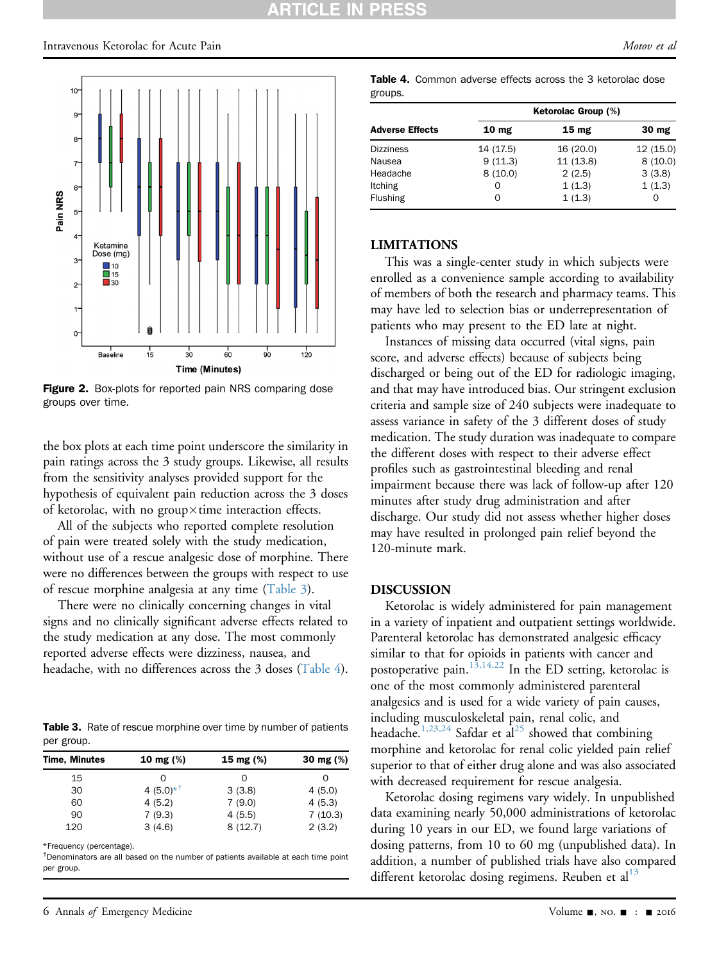#### RTICLE IN PRES

<span id="page-5-0"></span>

Figure 2. Box-plots for reported pain NRS comparing dose groups over time.

the box plots at each time point underscore the similarity in pain ratings across the 3 study groups. Likewise, all results from the sensitivity analyses provided support for the hypothesis of equivalent pain reduction across the 3 doses of ketorolac, with no group×time interaction effects.

All of the subjects who reported complete resolution of pain were treated solely with the study medication, without use of a rescue analgesic dose of morphine. There were no differences between the groups with respect to use of rescue morphine analgesia at any time ([Table 3\)](#page-5-1).

There were no clinically concerning changes in vital signs and no clinically significant adverse effects related to the study medication at any dose. The most commonly reported adverse effects were dizziness, nausea, and headache, with no differences across the 3 doses ([Table 4](#page-5-2)).

<span id="page-5-1"></span>Table 3. Rate of rescue morphine over time by number of patients per group.

| 10 mg $(\%)$            | 15 mg $(\%)$ | 30 mg $(\%)$ |
|-------------------------|--------------|--------------|
|                         | $\Omega$     | O            |
| 4 $(5.0)*$ <sup>+</sup> | 3(3.8)       | 4(5.0)       |
| 4(5.2)                  | 7(9.0)       | 4(5.3)       |
| 7(9.3)                  | 4(5.5)       | 7(10.3)      |
| 3(4.6)                  | 8(12.7)      | 2(3.2)       |
|                         |              |              |

<span id="page-5-3"></span>\*Frequency (percentage).

<span id="page-5-4"></span><sup>†</sup>Denominators are all based on the number of patients available at each time point per group.

<span id="page-5-2"></span>Table 4. Common adverse effects across the 3 ketorolac dose groups.

|                        | Ketorolac Group (%) |                  |          |  |
|------------------------|---------------------|------------------|----------|--|
| <b>Adverse Effects</b> | 10 <sub>mg</sub>    | 15 <sub>mg</sub> | 30 mg    |  |
| <b>Dizziness</b>       | 14 (17.5)           | 16 (20.0)        | 12(15.0) |  |
| Nausea                 | 9(11.3)             | 11 (13.8)        | 8(10.0)  |  |
| Headache               | 8(10.0)             | 2(2.5)           | 3(3.8)   |  |
| <b>Itching</b>         | 0                   | 1(1.3)           | 1(1.3)   |  |
| Flushing               | Ω                   | 1(1.3)           |          |  |

#### LIMITATIONS

This was a single-center study in which subjects were enrolled as a convenience sample according to availability of members of both the research and pharmacy teams. This may have led to selection bias or underrepresentation of patients who may present to the ED late at night.

Instances of missing data occurred (vital signs, pain score, and adverse effects) because of subjects being discharged or being out of the ED for radiologic imaging, and that may have introduced bias. Our stringent exclusion criteria and sample size of 240 subjects were inadequate to assess variance in safety of the 3 different doses of study medication. The study duration was inadequate to compare the different doses with respect to their adverse effect profiles such as gastrointestinal bleeding and renal impairment because there was lack of follow-up after 120 minutes after study drug administration and after discharge. Our study did not assess whether higher doses may have resulted in prolonged pain relief beyond the 120-minute mark.

#### DISCUSSION

Ketorolac is widely administered for pain management in a variety of inpatient and outpatient settings worldwide. Parenteral ketorolac has demonstrated analgesic efficacy similar to that for opioids in patients with cancer and postoperative pain.[13,14,22](#page-7-8) In the ED setting, ketorolac is one of the most commonly administered parenteral analgesics and is used for a wide variety of pain causes, including musculoskeletal pain, renal colic, and headache.<sup>[1,23,24](#page-7-0)</sup> Safdar et al<sup>[25](#page-7-14)</sup> showed that combining morphine and ketorolac for renal colic yielded pain relief superior to that of either drug alone and was also associated with decreased requirement for rescue analgesia.

Ketorolac dosing regimens vary widely. In unpublished data examining nearly 50,000 administrations of ketorolac during 10 years in our ED, we found large variations of dosing patterns, from 10 to 60 mg (unpublished data). In addition, a number of published trials have also compared different ketorolac dosing regimens. Reuben et al<sup>[13](#page-7-8)</sup>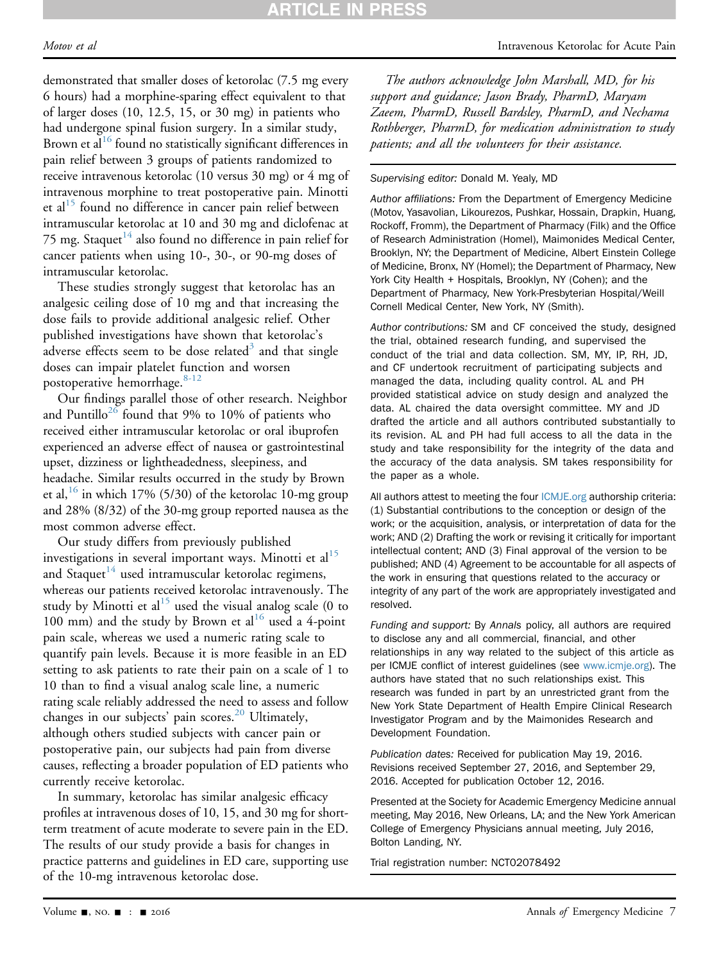demonstrated that smaller doses of ketorolac (7.5 mg every 6 hours) had a morphine-sparing effect equivalent to that of larger doses (10, 12.5, 15, or 30 mg) in patients who had undergone spinal fusion surgery. In a similar study, Brown et  $a^{16}$  $a^{16}$  $a^{16}$  found no statistically significant differences in pain relief between 3 groups of patients randomized to receive intravenous ketorolac (10 versus 30 mg) or 4 mg of intravenous morphine to treat postoperative pain. Minotti

et al<sup>[15](#page-7-16)</sup> found no difference in cancer pain relief between intramuscular ketorolac at 10 and 30 mg and diclofenac at 75 mg. Staquet<sup>14</sup> also found no difference in pain relief for cancer patients when using 10-, 30-, or 90-mg doses of intramuscular ketorolac.

These studies strongly suggest that ketorolac has an analgesic ceiling dose of 10 mg and that increasing the dose fails to provide additional analgesic relief. Other published investigations have shown that ketorolac's adverse effects seem to be dose related<sup>[3](#page-7-18)</sup> and that single doses can impair platelet function and worsen postoperative hemorrhage.<sup>[8-12](#page-7-6)</sup>

Our findings parallel those of other research. Neighbor and Puntillo<sup>[26](#page-7-19)</sup> found that 9% to 10% of patients who received either intramuscular ketorolac or oral ibuprofen experienced an adverse effect of nausea or gastrointestinal upset, dizziness or lightheadedness, sleepiness, and headache. Similar results occurred in the study by Brown et al,  $16$  in which 17% (5/30) of the ketorolac 10-mg group and 28% (8/32) of the 30-mg group reported nausea as the most common adverse effect.

Our study differs from previously published investigations in several important ways. Minotti et  $al<sup>15</sup>$  $al<sup>15</sup>$  $al<sup>15</sup>$ and Staquet<sup>[14](#page-7-17)</sup> used intramuscular ketorolac regimens, whereas our patients received ketorolac intravenously. The study by Minotti et al<sup>[15](#page-7-16)</sup> used the visual analog scale (0 to 100 mm) and the study by Brown et  $al<sup>16</sup>$  $al<sup>16</sup>$  $al<sup>16</sup>$  used a 4-point pain scale, whereas we used a numeric rating scale to quantify pain levels. Because it is more feasible in an ED setting to ask patients to rate their pain on a scale of 1 to 10 than to find a visual analog scale line, a numeric rating scale reliably addressed the need to assess and follow changes in our subjects' pain scores.<sup>[20](#page-7-12)</sup> Ultimately, although others studied subjects with cancer pain or postoperative pain, our subjects had pain from diverse causes, reflecting a broader population of ED patients who currently receive ketorolac.

In summary, ketorolac has similar analgesic efficacy profiles at intravenous doses of 10, 15, and 30 mg for shortterm treatment of acute moderate to severe pain in the ED. The results of our study provide a basis for changes in practice patterns and guidelines in ED care, supporting use of the 10-mg intravenous ketorolac dose.

The authors acknowledge John Marshall, MD, for his support and guidance; Jason Brady, PharmD, Maryam Zaeem, PharmD, Russell Bardsley, PharmD, and Nechama Rothberger, PharmD, for medication administration to study patients; and all the volunteers for their assistance.

#### Supervising editor: Donald M. Yealy, MD

Author affiliations: From the Department of Emergency Medicine (Motov, Yasavolian, Likourezos, Pushkar, Hossain, Drapkin, Huang, Rockoff, Fromm), the Department of Pharmacy (Filk) and the Office of Research Administration (Homel), Maimonides Medical Center, Brooklyn, NY; the Department of Medicine, Albert Einstein College of Medicine, Bronx, NY (Homel); the Department of Pharmacy, New York City Health + Hospitals, Brooklyn, NY (Cohen); and the Department of Pharmacy, New York-Presbyterian Hospital/Weill Cornell Medical Center, New York, NY (Smith).

Author contributions: SM and CF conceived the study, designed the trial, obtained research funding, and supervised the conduct of the trial and data collection. SM, MY, IP, RH, JD, and CF undertook recruitment of participating subjects and managed the data, including quality control. AL and PH provided statistical advice on study design and analyzed the data. AL chaired the data oversight committee. MY and JD drafted the article and all authors contributed substantially to its revision. AL and PH had full access to all the data in the study and take responsibility for the integrity of the data and the accuracy of the data analysis. SM takes responsibility for the paper as a whole.

All authors attest to meeting the four [ICMJE.org](http://ICMJE.org) authorship criteria: (1) Substantial contributions to the conception or design of the work; or the acquisition, analysis, or interpretation of data for the work; AND (2) Drafting the work or revising it critically for important intellectual content; AND (3) Final approval of the version to be published; AND (4) Agreement to be accountable for all aspects of the work in ensuring that questions related to the accuracy or integrity of any part of the work are appropriately investigated and resolved.

Funding and support: By Annals policy, all authors are required to disclose any and all commercial, financial, and other relationships in any way related to the subject of this article as per ICMJE conflict of interest guidelines (see [www.icmje.org](http://www.icmje.org/)). The authors have stated that no such relationships exist. This research was funded in part by an unrestricted grant from the New York State Department of Health Empire Clinical Research Investigator Program and by the Maimonides Research and Development Foundation.

Publication dates: Received for publication May 19, 2016. Revisions received September 27, 2016, and September 29, 2016. Accepted for publication October 12, 2016.

Presented at the Society for Academic Emergency Medicine annual meeting, May 2016, New Orleans, LA; and the New York American College of Emergency Physicians annual meeting, July 2016, Bolton Landing, NY.

Trial registration number: NCT02078492